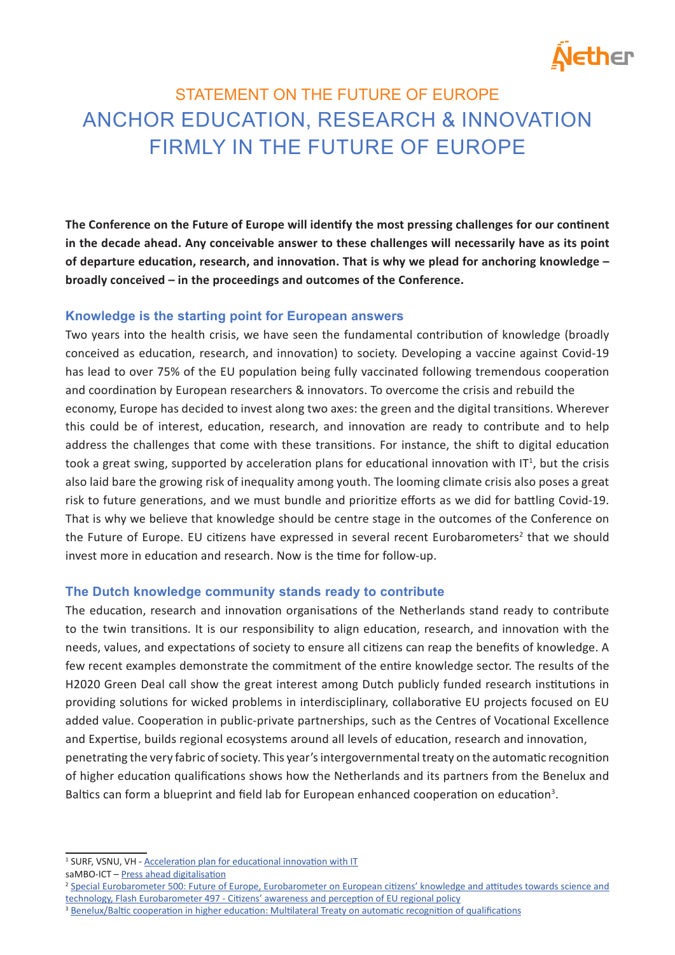# Ether

# STATEMENT ON THE FUTURE OF EUROPE ANCHOR EDUCATION, RESEARCH & INNOVATION FIRMLY IN THE FUTURE OF EUROPE

**The Conference on the Future of Europe will identify the most pressing challenges for our continent in the decade ahead. Any conceivable answer to these challenges will necessarily have as its point of departure education, research, and innovation. That is why we plead for anchoring knowledge – broadly conceived – in the proceedings and outcomes of the Conference.** 

# **Knowledge is the starting point for European answers**

Two years into the health crisis, we have seen the fundamental contribution of knowledge (broadly conceived as education, research, and innovation) to society. Developing a vaccine against Covid-19 has lead to over 75% of the EU population being fully vaccinated following tremendous cooperation and coordination by European researchers & innovators. To overcome the crisis and rebuild the economy, Europe has decided to invest along two axes: the green and the digital transitions. Wherever this could be of interest, education, research, and innovation are ready to contribute and to help address the challenges that come with these transitions. For instance, the shift to digital education took a great swing, supported by acceleration plans for educational innovation with  $IT<sup>1</sup>$ , but the crisis also laid bare the growing risk of inequality among youth. The looming climate crisis also poses a great risk to future generations, and we must bundle and prioritize efforts as we did for battling Covid-19. That is why we believe that knowledge should be centre stage in the outcomes of the Conference on the Future of Europe. EU citizens have expressed in several recent Eurobarometers<sup>2</sup> that we should invest more in education and research. Now is the time for follow-up.

# **The Dutch knowledge community stands ready to contribute**

The education, research and innovation organisations of the Netherlands stand ready to contribute to the twin transitions. It is our responsibility to align education, research, and innovation with the needs, values, and expectations of society to ensure all citizens can reap the benefits of knowledge. A few recent examples demonstrate the commitment of the entire knowledge sector. The results of the H2020 Green Deal call show the great interest among Dutch publicly funded research institutions in providing solutions for wicked problems in interdisciplinary, collaborative EU projects focused on EU added value. Cooperation in public-private partnerships, such as the Centres of Vocational Excellence and Expertise, builds regional ecosystems around all levels of education, research and innovation, penetrating the very fabric of society. This year's intergovernmental treaty on the automatic recognition of higher education qualifications shows how the Netherlands and its partners from the Benelux and Baltics can form a blueprint and field lab for European enhanced cooperation on education<sup>3</sup>.

saMBO-ICT - Press ahead digitalisation

<sup>&</sup>lt;sup>1</sup> SURF, VSNU, VH - **Acceleration plan for educational innovation with IT** 

<sup>&</sup>lt;sup>2</sup> Special Eurobarometer 500: Future of Europe, Eurobarometer on European citizens' knowledge and attitudes towards science and technology, Flash Eurobarometer 497 - Citizens' awareness and perception of EU regional policy

<sup>&</sup>lt;sup>3</sup> Benelux/Baltic cooperation in higher education: Multilateral Treaty on automatic recognition of qualifications